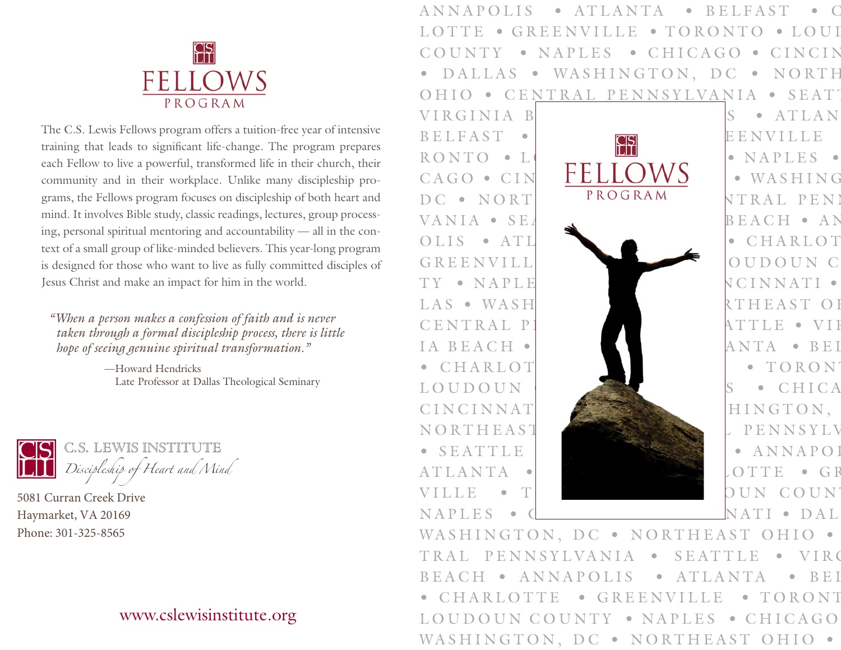

The C.S. Lewis Fellows program offers a tuition-free year of intensive training that leads to significant life-change. The program prepares each Fellow to live a powerful, transformed life in their church, their community and in their workplace. Unlike many discipleship programs, the Fellows program focuses on discipleship of both heart and mind. It involves Bible study, classic readings, lectures, group processing, personal spiritual mentoring and accountability — all in the context of a small group of like-minded believers. This year-long program is designed for those who want to live as fully committed disciples of Jesus Christ and make an impact for him in the world.

*"When a person makes a confession of faith and is never taken through a formal discipleship process, there is little hope of seeing genuine spiritual transformation."*

> —Howard Hendricks Late Professor at Dallas Theological Seminary



5081 Curran Creek Drive Haymarket, VA 20169 Phone: 301-325-8565

## [www.cslewisinstitute.org](https://www.cslewisinstitute.org/)

ANNAPOLIS • ATLANTA • BELFAST • C LOTTE • GREENVILLE • TORONTO • LOUI COUNTY • NAPLES • CHICAGO • CINCIN DALLAS • WASHINGTON, DC • NORTH OHIO • CENTRAL PENNSYLVANIA • SEATT



WASHINGTON, DC · NORTHEAST OHIO · TRAL PENNSYLVANIA • SEATTLE • VIRG BEACH • ANNAPOLIS • ATLANTA • BEI CHARLOTTE • GREENVILLE • TORONT LOUDOUN COUNTY • NAPLES • CHICAGO WASHINGTON, DC · NORTHEAST OHIO ·